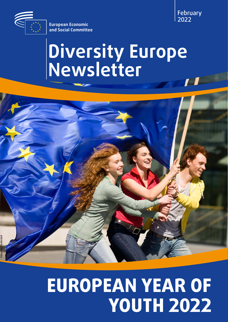

**European Economic and Social Committee**

# **Diversity Europe Newsletter**



# **EUROPEAN YEAR OF YOUTH 2022**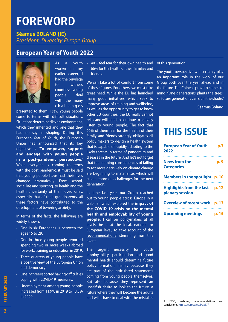# **FOREWORD**

**Séamus BOLAND (IE)** *President, Diversity Europe Group*

# **European Year of Youth 2022**



As a youth worker in my earlier career, I had the privilege to witness countless young people deal with the many challenges

presented to them. I saw young people come to terms with difficult situations. Situations determined by an environment, which they inherited and one that they had no say in shaping. During this European Year of Youth, the European Union has announced that its key objective is **'To empower, support and engage with young people in a post-pandemic perspective.**' While everyone is coming to terms with the post pandemic, it must be said that young people have had their lives changed dramatically. From school, social life and sporting, to health and the health uncertainty of their loved ones, especially that of their grandparents, all these factors have contributed to the development of towering anxiety.

In terms of the facts, the following are widely known:

- One in six Europeans is between the ages 15 to 29.
- One in three young people reported spending two or more weeks abroad for work, training or education in 2019.
- Three quarters of young people have a positive view of the European Union and democracy.
- One in three reported having difficulties coping with COVID-19 measures.
- Unemployment among young people increased from 11.9% in 2019 to 13.3% in 2020.

• 40% feel fear for their own health and 66% for the health of their families and friends.

We can take a lot of comfort from some of these figures. For others, we must take great heed. While the EU has launched many good initiatives, which seek to improve areas of training and wellbeing, as well as the opportunity to get to know other EU countries, the EU really cannot relax and will need to continue to actively listen to young people. The fact that 66% of them fear for the health of their family and friends strongly obligates all policy makers to design a health system that is capable of rapidly adapting to the likely threats in terms of pandemics and diseases in the future. And let's not forget that the looming consequences of failing to act more decisively on climate change are beginning to materialise, which will create enormous challenges for the next generation.

In June last year, our Group reached out to young people across Europe in a webinar, which explored the **impact of the COVID-19 crisis on the mental health and employability of young people.** I call on policymakers at all levels, be it at the local, national or European level, to take account of the [recommendations](https://www.eesc.europa.eu/en/agenda/our-events/events/age-inequality-youth-times-covid-19/conclusions)<sup>1</sup> stemming from this event.

The urgent necessity for youth employability, participation and good mental health should determine future policy formation, mainly because they are part of the articulated statements coming from young people themselves. But also because they represent an unselfish desire to look to the future, a future where they will become the adults and will t have to deal with the mistakes

of this generation.

The youth perspective will certainly play an important role in the work of our Group both over the year ahead and in the future. The Chinese proverb comes to mind: "One generations plants the trees, so future generations can sit in the shade."

#### **Séamus Boland**

# **THIS ISSUE**

| <b>European Year of Youth</b><br>2022             | p.3   |
|---------------------------------------------------|-------|
| <b>News from the</b><br><b>Categories</b>         | p. 9  |
| Members in the spotlight p. 10                    |       |
| Highlights from the last p. 12<br>plenary session |       |
| <b>Overview of recent work p. 13</b>              | .     |
| <b>Upcoming meetings</b>                          | p. 15 |

1. EESC, webinar, recommendations and

conclusions,<https://europa.eu/!rq887R>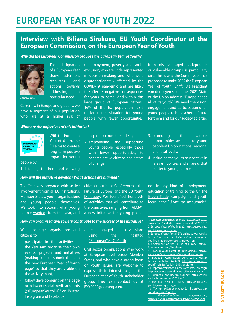# <span id="page-2-0"></span>**EUROPEAN YEAR OF YOUTH 2022**

## **Interview with Biliana Sirakova, EU Youth Coordinator at the European Commission, on the European Year of Youth**

unemployment, poverty and social exclusion, who are underrepresented in decision-making and who were disproportionately affected by the COVID-19 pandemic and are likely to suffer its negative consequences for years to come. And within this large group of European citizens, 16% of the EU population (73.6 million<sup>1</sup>), the situation for young people with fewer opportunities,

#### *Why did the European Commission propose the European Year of Youth?*



The designation of a European Year draws attention, resources and actions towards addressing a particular need.

Currently, in Europe and globally, we have a segment of our population who are at a higher risk of

#### *What are the objectives of this initiative?*



With the European Year of Youth, the EU aims to create a long-term positive impact for young

#### people by:

1. listening to them and drawing

#### *How will the initiative develop? What actions are planned?*

The Year was prepared with active involvement from all EU institutions, Member States, youth organisations and young people themselves. We took into account what young people [wanted](https://europa.eu/youth/news/european-year-youth-online-survey-results-are-out_en)<sup>3</sup> from this year, and

citizen input in the [Conference on the](https://futureu.europa.eu/?locale=en)  [Future of Europe](https://futureu.europa.eu/?locale=en)<sup>4</sup> and the EU Youth [Dialogue](https://europa.eu/youth/strategy/euyouthdialogue_en)<sup>5</sup>. We identified hundreds of activities that will contribute to the objectives, ranging from **[ALMA](https://ec.europa.eu/social/main.jsp?catId=1549&langId=en)<sup>6</sup>**, a new initiative for young people

inspiration from their ideas; 2. empowering and supporting young people, especially those with fewer opportunities, to become active citizens and actors

of change;

from disadvantaged backgrounds or vulnerable groups, is particularly dire. This is why the Commission has proposed to make 2022 the European Year of Youth [\(EYY](https://europa.eu/youth/year-of-youth_en)<sup>2</sup>). As President von der Leyen said in her 2021 State of the Union address "Europe needs all of its youth". We need the vision, engagement and participation of all young people to build a better future for them and for our society at large.

- 3. promoting the various opportunities available to young people at Union, national, regional and local levels;
- 4. including the youth perspective in relevant policies and all areas that matter to young people.

not in any kind of employment, education or training, to the [On the](https://ec.europa.eu/environment/thegreentrack_en#:~:text=On%20the%20Green%20Track%20is,the%20European%20Year%20of%20Youth.) [Green Track](https://ec.europa.eu/environment/thegreentrack_en#:~:text=On%20the%20Green%20Track%20is,the%20European%20Year%20of%20Youth.)<sup>7</sup> campaign and youth focus in the [EU Anti-racism summit](https://www.antiracism-eusummit2021.eu/)<sup>8</sup>.

#### *How can organised civil society contribute to the success of the initiative?*

We encourage organisations and citizens to:

- participate in the activities of the Year and organise their own events, projects and initiatives (making sure to submit them to the new [European Year of Youth](https://europa.eu/youth/year-of-youth_en) [page](https://europa.eu/youth/year-of-youth_en)<sup>9</sup> so that they are visible on the activity map),
- follow developments on the page or follow our social media accounts ([@EuropeanYouthEU](https://twitter.com/EuropeanYouthEU)<sup>10</sup> on Twitter, Instagram and Facebook),

• get engaged in discussions using the hashtag [#EuropeanYearOfYouth](https://twitter.com/search?q=%23EuropeanYearOfYouth&src=hashtag_click)<sup>11</sup>

Civil sector organisations who work at European level across Member States, and who have a strong focus on youth issues, are welcome to express their interest to join the European Year of Youth stakeholder group. They can contact us at [EYY2022@ec.europa.eu.](mailto:EYY2022@ec.europa.eu)

11. #EuropeanYearOfYouth, [https://twitter.com/](https://twitter.com/search?q=%23EuropeanYearOfYouth&src=hashtag_click) [search?q=%23EuropeanYearOfYouth&src=hashtag\\_click](https://twitter.com/search?q=%23EuropeanYearOfYouth&src=hashtag_click)

<sup>1.</sup> European Commission, Eurostat, [https://ec.europa.eu/](https://ec.europa.eu/eurostat/web/products-eurostat-news/-/edn-20220105-1) [eurostat/web/products-eurostat-news/-/edn-20220105-1](https://ec.europa.eu/eurostat/web/products-eurostat-news/-/edn-20220105-1) 2. European Year of Youth 2022, [https://europa.eu/](https://europa.eu/youth/year-of-youth_en) [youth/year-of-youth\\_en](https://europa.eu/youth/year-of-youth_en)

<sup>3.</sup> European Youth Portal, EYY online survey results, [https://europa.eu/youth/news/european-year](https://europa.eu/youth/news/european-year-youth-online-survey-results-are-out_en)[youth-online-survey-results-are-out\\_en](https://europa.eu/youth/news/european-year-youth-online-survey-results-are-out_en)

<sup>4.</sup> Conference on the Future of Europe. [https://](https://futureu.europa.eu/?locale=en) [futureu.europa.eu/?locale=en](https://futureu.europa.eu/?locale=en)

<sup>5.</sup> European Youth Portal, EU Youth Dialogue, [https://](https://europa.eu/youth/strategy/euyouthdialogue_en) [europa.eu/youth/strategy/euyouthdialogue\\_en](https://europa.eu/youth/strategy/euyouthdialogue_en)

<sup>6.</sup> European Commission, Aim, Learn, Master, Achieve initiative (ALMA), [https://ec.europa.eu/](https://ec.europa.eu/social/main.jsp?catId=1549&langId=en) [social/main.jsp?catId=1549&langId=en](https://ec.europa.eu/social/main.jsp?catId=1549&langId=en)

<sup>7.</sup> European Commission, On the Green Track Campaign, [https://ec.europa.eu/environment/thegreentrack\\_en](https://ec.europa.eu/environment/thegreentrack_en) 8. European Anti-Racism Summit, [https://www.](https://www.antiracism-eusummit2021.eu/) [antiracism-eusummit2021.eu/](https://www.antiracism-eusummit2021.eu/)

<sup>9.</sup> European Year of Youth, [https://europa.eu/](https://europa.eu/youth/year-of-youth_en) [youth/year-of-youth\\_en](https://europa.eu/youth/year-of-youth_en)

<sup>10.</sup> Twitter, @EuropeanYouthEU, [https://twitter.](https://twitter.com/EuropeanYouthEU) [com/EuropeanYouthEU](https://twitter.com/EuropeanYouthEU)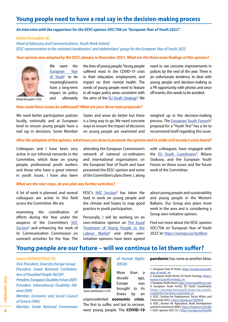# **Young people need to have a real say in the decision-making process**

#### *An interview with the rapporteur for the EESC opinion SOC/706 on "European Year of Youth 2022".*

*Michael McLoughlin (IE)*

*Head of Advocacy and Communications, Youth Work Ireland EESC representative at the national coordinators' and stakeholders' group for the European Year of Youth 2022*

#### *Your opinion was adopted by the EESC plenary in December 2021. What are the three main findings of this opinion?*



We want the [European Year](https://europa.eu/youth/year-of-youth_en) [of Youth](https://europa.eu/youth/year-of-youth_en)<sup>1</sup> to be meaningful and to have a long-term impact on policy and ultimately

the lives of young people. Young people suffered most in the COVID-19 crisis in their education, employment, and impact on their mental health. The needs of young people need to feature in all major policy areas consistent with the aims of the **EU** Youth Strategy<sup>2</sup>. We need to see concrete improvements in polices by the end of the year. There is an unfortunate tendency to deal with young people and decision-making as a PR opportunity with photos and once off events, this needs to be avoided.

*Michael McLoughlin © EESC*

#### *How could these issues be addressed? What are your three main proposals?*

We need better participation policies locally, nationally and at European level to ensure young people have a real say in decisions. Some Member

States and areas do better but there is a long way to go. We need concrete ways to ensure the impact of decisions on young people are examined and weighed up in the decision-making process. The [European Youth Forum](https://www.youthforum.org/)'s<sup>3</sup> proposal for a "Youth Test" has a lot to recommend itself regarding this issue.

#### *After the adoption of the opinion, what have you done to promote the opinion and to make civil society's voice heard?*

Colleagues and I have been very active in our informal networks in the Committee, which draw on young people, professional youth workers and those who have a great interest in youth issues. I have also been

#### *What are the next steps, do you plan any further activities?*

A lot of work is planned, and several colleagues are active in this field across the Committee. We are

examining the coordination of efforts during the Year under the auspices of the Committee's [SOC](https://www.eesc.europa.eu/en/sections-other-bodies/sections-commission/section-employment-social-affairs-and-citizenship-soc) [Section](https://www.eesc.europa.eu/en/sections-other-bodies/sections-commission/section-employment-social-affairs-and-citizenship-soc)<sup>5</sup> and enhancing the work of its Communication Commission on outreach activities for the Year. The

attending the European Commission's network of national co-ordinators and international organisations on the European Year of Youth and have presented the EESC opinion and some of the Committee's plans there. I, along

EESC's [NAT Section](https://www.eesc.europa.eu/en/sections-other-bodies/sections-commission/agriculture-rural-development-and-environment-nat)<sup>6</sup> has taken the lead in work on young people and the climate and hopes to map good practice in youth participation.

Personally, I will be working on an own-initiative opinion on [The Equal](https://www.eesc.europa.eu/en/our-work/opinions-information-reports/opinions/equal-treatment-young-people-labour-market)  [Treatment of Young People in the](https://www.eesc.europa.eu/en/our-work/opinions-information-reports/opinions/equal-treatment-young-people-labour-market)  [Labour Market](https://www.eesc.europa.eu/en/our-work/opinions-information-reports/opinions/equal-treatment-young-people-labour-market)<sup>7</sup> and other owninitiative opinions have been agreed with colleagues, have engaged with the [EU Youth Coordinator](https://europa.eu/youth/news/eu-youth-coordinator-has-been-nominated_en)<sup>4</sup>, Biliana Sirakova, and the European Youth Forum on these issues and the future work of the Committee.

about young people and sustainability and young people in the Western Balkans. Our Group also plans more work in the area and is considering a Group own-initiative opinion.

Find out more about the EESC opinion SOC/706 on 'European Year of Youth 2022' at:<https://europa.eu/!qvtBwn>

### **Young people are our future – will we continue to let them suffer?**

*Ioannis VARDAKASTANIS (EL) Vice-President, Diversity Europe Group President, Greek National Confederation of Disabled People (NCDP) President, European Disability Forum (EDF) President, International Disability Alliance (IDA) Member, Economic and Social Council* 

*of Greece (OKE)*

*Member, Greek National Commission* 



 *Ioannis Vardakastanis © EESC*

unprecedented **economic crisis**. The first to suffer, and last to recover, were young people. The **COVID-19** 

*of Human Rights (EEDA)*

More than a decade ago, Europe was brought to its knees by an **pandemic** has come as another blow.

5. EESC, Section for Employment, Social Affairs and Citizenship (SOC), <https://europa.eu/!xW46cK>

6. EESC, Section for Agriculture, Rural Development and the Environment (NAT),<https://europa.eu/!yq33Bv>

7. EESC opinion SOC/721, <https://europa.eu/!6wpV6j>

**4**

<sup>1.</sup> European Year of Youth, [https://europa.eu/youth/](https://europa.eu/youth/year-of-youth_en) [year-of-youth\\_en](https://europa.eu/youth/year-of-youth_en)

<sup>2.</sup> European Youth Portal, EU Youth Strategy, [https://](https://europa.eu/youth/strategy_en) [europa.eu/youth/strategy\\_en](https://europa.eu/youth/strategy_en)

<sup>3.</sup> European Youth Forum,<https://www.youthforum.org/> 4. European Youth Portal, EU Youth Coordinator, [https://europa.eu/youth/news/eu-youth](https://europa.eu/youth/news/eu-youth-coordinator-has-been-nominated_en)[coordinator-has-been-nominated\\_en](https://europa.eu/youth/news/eu-youth-coordinator-has-been-nominated_en)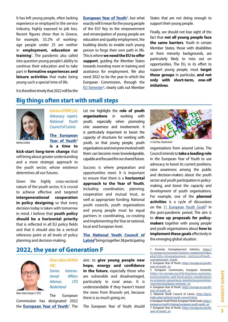It has left young people, often lacking experience or employed in the service industry, highly exposed to job loss. Recent figures show that in Greece, for example, 33.2% of workingage people under 25 are neither in **employment, education or training**<sup>1</sup> . The pandemic also called into question young people's ability to continue their education and to take part in **formative experiences and leisure activities** that make being young such a special time of life.

**[European Year of Youth](https://europa.eu/youth/year-of-youth_en)**<sup>2</sup>, but what exactly will it mean for the young people of the EU? Key to the empowerment and emancipation of young people are education and quality employment, the building blocks to enable each young person to forge their own path in life. This is where **we need the EU to offer support**, guiding the Member States towards investing more in training and assistance for employment. We also need 2022 to be the year in which the European Commission, through the [EU Semester](https://ec.europa.eu/info/business-economy-euro/economic-and-fiscal-policy-coordination/eu-economic-governance-monitoring-prevention-correction/european-semester_en)<sup>3</sup>, clearly calls out Member States that are not doing enough to support their young people.

Finally, we should not lose sight of the fact that **not all young people face the same barriers**. Youth in certain Member States, those with disabilities or from minority backgrounds, are particularly likely to miss out on opportunities. The EU, in its effort to support young people, must **target these groups** in particular, **and not only with short-term, one-off initiatives**.

It is therefore timely that 2022 will be the

## **Big things often start with small steps**



*Katrīna LEITĀNE (LA) Advocacy expert, National Youth Council of Latvia*

**The [European](https://europa.eu/youth/year-of-youth_en)**  [Year of Youth](https://europa.eu/youth/year-of-youth_en)<sup>4</sup> **is a time to** 

**kick-start long-term change** that will bring about greater understanding and a more strategic approach to the youth sector, whose existence determines all our futures.

Given the highly cross-sectoral nature of the youth sector, it is crucial to achieve effective and targeted **intergenerational cooperation in policy designing** so that every decision today is taken with tomorrow in mind. I believe that **youth policy should be a horizontal priority** that is reflected in all EU policy fields and that it should also be a vertical reference point at all levels of policy planning and decision-making.

Let me highlight the **role of youth organisations** in working with youth, especially when promoting civic awareness and involvement. It is particularly important to boost the capacity of structures for working with youth, so that young people, youth *© FooTToo, Shutterstock Katrīna Leitāne* organisations and everyone involved with them can become more knowledgeable, capable and focused for our shared future.

> Success is where preparation and opportunities meet. It is important to ensure that there is a **horizontal approach to the Year of Youth**, including coordination, planning, cooperation and mutual trust, as well as appropriate funding. National youth councils, youth organisations and young people must be equal partners in coordinating, co-creating and implementing the Year at national, local and European level.

> **The [National Youth Council of](https://ljp.lv/index.php/national-youth-council-latvia)  [Latvia](https://ljp.lv/index.php/national-youth-council-latvia)5** brings together 38 participating





*Klaas Johan Osinga © EESC*

*(NL) Senior International Affairs Advisor, LTO Nederland*

*Klaas Johan OSINGA* 

The European Commission has designated 2022 the *[European Year of Youth](https://europa.eu/youth/year-of-youth_en)<sup>7</sup>. The* 

aim: to **give young people new hope, energy and confidence in the future**, especially those who are vulnerable and disadvantaged, particularly in rural areas. It is understandable if they haven't heard the news from Brussels yet, because there is so much going on.

The European Year of Youth should



organisations from around Latvia. The Council intends to **take a leading role** in the European Year of Youth to use advocacy to boost its current positions, raise awareness among the public and decision-makers about the youth sector and youth participation in policymaking, and boost the capacity and development of youth organisations. For example, one of the **planned activities** is a cycle of discussions on the [11 European Youth Goals](https://europa.eu/youth/strategy/european-youth-goals_en)<sup>6</sup> in the post-pandemic period. The aim is to **draw up proposals for policymakers** together with young people and youth organisations about **how to implement these goals** effectively in the emerging global situation.

<sup>1.</sup> Eurostat, Unemployment statistics, [https://](https://ec.europa.eu/eurostat/statistics-explained/index.php?title=Unemployment_statistics#Youth_unemployment_trends)  [ec.europa.eu/eurostat/statistics-explained/index.](https://ec.europa.eu/eurostat/statistics-explained/index.php?title=Unemployment_statistics#Youth_unemployment_trends)  [php?title=Unemployment\\_statistics#Youth\\_](https://ec.europa.eu/eurostat/statistics-explained/index.php?title=Unemployment_statistics#Youth_unemployment_trends) [unemployment\\_trends](https://ec.europa.eu/eurostat/statistics-explained/index.php?title=Unemployment_statistics#Youth_unemployment_trends)

<sup>2.</sup> European Year of Youth, [https://europa.eu/youth/](https://europa.eu/youth/year-of-youth_en) [year-of-youth\\_en](https://europa.eu/youth/year-of-youth_en)

<sup>3.</sup> European Commission, European Semester, [https://ec.europa.eu/info/business-economy](https://ec.europa.eu/info/business-economy-euro/economic-and-fiscal-policy-coordination/eu-economic-governance-monitoring-prevention-correction/european-semester_en)[euro/economic-and-fiscal-policy-coordination/](https://ec.europa.eu/info/business-economy-euro/economic-and-fiscal-policy-coordination/eu-economic-governance-monitoring-prevention-correction/european-semester_en) [eu-economic-governance-monitoring-prevention](https://ec.europa.eu/info/business-economy-euro/economic-and-fiscal-policy-coordination/eu-economic-governance-monitoring-prevention-correction/european-semester_en)[correction/european-semester\\_en](https://ec.europa.eu/info/business-economy-euro/economic-and-fiscal-policy-coordination/eu-economic-governance-monitoring-prevention-correction/european-semester_en)

<sup>4.</sup> European Year of Youth, [https://europa.eu/youth/](https://europa.eu/youth/year-of-youth_en) [year-of-youth\\_en](https://europa.eu/youth/year-of-youth_en)

<sup>5.</sup> National Youth Council of Latvia, [https://ljp.lv/](https://ljp.lv/index.php/national-youth-council-latvia) [index.php/national-youth-council-latvia](https://ljp.lv/index.php/national-youth-council-latvia)

<sup>6.</sup> European Youth Portal, European Youth Goals, [https://](https://europa.eu/youth/strategy/european-youth-goals_en) [europa.eu/youth/strategy/european-youth-goals\\_en](https://europa.eu/youth/strategy/european-youth-goals_en) 7. European Year of Youth, [https://europa.eu/youth/](https://europa.eu/youth/year-of-youth_en) [year-of-youth\\_en](https://europa.eu/youth/year-of-youth_en)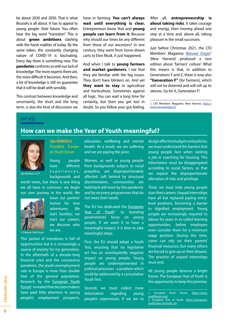<span id="page-5-0"></span>be about 2030 and 2050. That is what Brussels is all about. It has to appeal to young people: their future. You often hear the big word "transition". This is about **green ambitions** clashing with the harsh realities of today. By the same token, the constantly changing nature of COVID-19 is fascinating. Every day there is something new. The **pandemic** confronts us with our lack of knowledge. The more experts there are, the more difficult it becomes. And then, a lot of knowledge is still no guarantee that it will be dealt with sensibly.

This contrast between knowledge and uncertainty, the short and the long term, is also the kind of discussion we have in farming. **You can't always wait until everything is clear.** Entrepreneurs know that and **young people can learn from it**. Because why should our times be any different from those of our ancestors? In one century, they went from horse-drawn carts to Elon Musk. It just happened.

And when I talk to **young farmers and market gardeners**, I see that they are familiar with the big issues. They don't have blinkers on. And yet **they want to stay** in agriculture and horticulture. Sometimes against all logic. You can wait a long time for certainty, but then you get lost in doubt. So you follow your gut feeling. After all, **entrepreneurship is about taking risks**. It takes courage and energy, then moving ahead one step at a time and, above all, taking pleasure in the small successes.

Just before Christmas 2021, the LTO Members' Magazine *[Nieuwe Oogst1](https://www.nieuweoogst.nl/)* (New Harvest) produced a nice edition about 'farmers' culture'. What this means is that, in addition to Generations Y and Z, there is now also **"Generation F"** (for Farmers), which will not be deterred and will roll up its sleeves. Go for it, Generation F!

1. LTO Members' Magazine, New Harvest, [https://](https://www.nieuweoogst.nl/) [www.nieuweoogst.nl/](https://www.nieuweoogst.nl/)

#### *OP-ED*

## **How can we make the Year of Youth meaningful?**



*Silja Markkula © EYF*

world views, but there is one thing we all have in common: we begin our own journey in the world. We

*Silja MARKKULA*

*an Youth Forum*

Young people have different e x p e r i e n c e s , backgrounds and

leave our parents' homes for new adventures. We start families; we start our careers; we discover who



*© European Youth Forum*

This period of transitions is full of opportunities but it is increasingly a source of anxiety for my generation. In the aftermath of a decade-long financial crisis and the coronavirus pandemic, the youth unemployment rate in Europe is more than double that of the general population. Research by the **European Youth** [Forum](https://www.youthforum.org/)<sup>1</sup> revealed that decision makers have paid little attention to young people's employment prospects,

we are.

*President, Europe*education, wellbeing and mental health. As a result, we are suffering and we are paying the price.

> Women, as well as young people from backgrounds subject to racial prejudice, are disproportionately affected. Left behind by structural discrimination, communities are held back still more by the pandemic and by recovery programmes that do not meet their needs.

> The EU has dedicated the [European](https://europa.eu/youth/year-of-youth_en) [Year of Youth](https://europa.eu/youth/year-of-youth_en)<sup>2</sup> to boosting governments' focus on young people. If we want it to have a meaningful impact, it is time to take meaningful steps.

> First, the EU should adopt a Youth Test, ensuring that no legislative act has an unmitigatedly negative impact on young people. Young people are underrepresented in political processes - a problem which could be addressed by a consultative Youth Test.

> Second, we must collect more information regarding young people's experiences. If we are to

design effective budgets and policies, we must understand the barriers that young people face when seeking a job or searching for housing. This information must be disaggregated according to social factors, so that we expose the disproportionate allocation of risks and privilege.

Third, we must help young people start their careers. Unpaid internships have all but replaced paying entrylevel positions, becoming a barrier to dignified employment. Young people are increasingly required to labour for years in so-called learning opportunities, before employers even consider them for a minimum wage position. During this time, some can rely on their parents' financial resources, but many others are forced to give up on their dreams. The practice of unpaid internships must end.

All young people deserve a bright future. The European Year of Youth is the opportunity to keep this promise.

European Youth Forum, [https://www.](https://www.youthforum.org/) [youthforum.org/](https://www.youthforum.org/) 2. European Year of Youth, [https://europa.eu/](https://europa.eu/youth/year-of-youth_en) [youth/year-of-youth\\_en](https://europa.eu/youth/year-of-youth_en)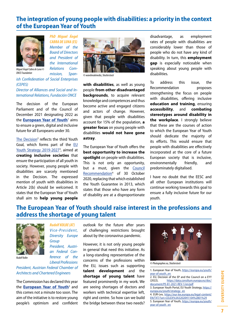## **The integration of young people with disabilities: a priority in the context of the European Year of Youth**



*Miguel Ángel Cabra de Luna © ONCE Foundation*

*PhD Miguel Ángel CABRA DE LUNA (ES) Member of the Board of Directors and President of the International Relations Commission, Span-*

*ish Confederation of Social Enterprises (CEPES)*

#### *Director of Alliances and Social and International Relations, Fundación ONCE*

The decision of the European Parliament and of the Council of December 2021 designating 2022 as the *[European Year of Youth](https://europa.eu/youth/year-of-youth_en)*<sup>1</sup> aims to ensure a green, digital and inclusive future for all Europeans under 30.

The [Decision](https://data.consilium.europa.eu/doc/document/PE-81-2021-REV-1/en/pdf)<sup>2</sup> reflects the third Youth Goal, which forms part of the [EU](https://europa.eu/youth/strategy_en) [Youth Strategy 2019-2027](https://europa.eu/youth/strategy_en)<sup>3</sup>, aimed at **creating inclusive societies** that ensure the participation of all youth in society. However, young people with disabilities are scarcely mentioned in the Decision. The expressed mention of youth with disabilities in Article 2(b) should be welcomed. It states that the European Year of Youth shall aim to **help young people** 



*© wavebreakmedia, Shutterstock*

**with disabilities**, as well as young people **from other disadvantaged backgrounds**, to acquire relevant knowledge and competences and thus become active and engaged citizens and actors of change. However, given that people with disabilities account for 15% of the population, **a greater focus** on young people with disabilities **would not have gone astray**.

The European Year of Youth offers the **best opportunity to increase the spotlight** on people with disabilities. This is not only an opportunity, but a must, given the [Council](https://eur-lex.europa.eu/legal-content/EN/TXT/?uri=CELEX%3A32020H1104%2801%29)  [Recommendation](https://eur-lex.europa.eu/legal-content/EN/TXT/?uri=CELEX%3A32020H1104%2801%29)<sup>4</sup> of 30 October 2020, replacing that which established the Youth Guarantee in 2013, which states that those who have any form of disability are at a disproportionate

disadvantage, as employment rates of people with disabilities are considerably lower than those of people who do not have any kind of disability. In turn, this **employment gap** is especially noticeable when speaking about young people with disabilities.

To address this issue, the Recommendation proposes strengthening the focus on people with disabilities, offering inclusive **education and training**, ensuring **accessibility**, and **combating stereotypes around disability in the workplace**. I strongly believe that these are the courses of action to which the European Year of Youth should dedicate the majority of its efforts. This would ensure that people with disabilities are effectively incorporated at the core of a future European society that is inclusive, environmentally friendly, and predominately digitalised.

I have no doubt that the EESC and all other European institutions will continue working towards this goal to ensure a fully inclusive future for our youth.

# **The European Year of Youth should raise interest in the professions and address the shortage of young talent**



*Rudolf Kolbe*

*Rudolf KOLBE (AT) Vi ce - Pre s i d e n t, Diversity Europe Group President, Austrian Federal Conference of the Liberal Professions*

*President, Austrian Federal Chamber of Architects and Chartered Engineers*

The Commission has declared this year the *[European Year of Youth](https://europa.eu/youth/year-of-youth_en)*<sup>5</sup> and this comes not a minute too soon. The aim of the initiative is to restore young people's optimism and confident

outlook for the future after years of challenging restrictions brought about by the coronavirus pandemic.

However, it is not only young people in general that need this initiative. As a long-standing representative of the concerns of the professions within the EU, issues such as supporting **talent development** and the **shortage of young talent** have featured prominently in my work. We are seeing shortages of doctors and workers with technical expertise left, right and centre. So how can we build the bridge between these two needs?



*© Photographee.eu, Shutterstock*

1. European Year of Youth, [https://europa.eu/youth/](https://europa.eu/youth/year-of-youth_en) [year-of-youth\\_en](https://europa.eu/youth/year-of-youth_en)

<sup>2.</sup> EU, Decision of the EP and the Council on a EYY (2022). https://data.consilium.europa.eu/doc/ [https://data.consilium.europa.eu/doc/](https://data.consilium.europa.eu/doc/document/PE-81-2021-REV-1/en/pdf) [document/PE-81-2021-REV-1/en/pdf](https://data.consilium.europa.eu/doc/document/PE-81-2021-REV-1/en/pdf)

<sup>3.</sup> European Youth Portal, EU Youth Strategy, [https://](https://europa.eu/youth/strategy_en) [europa.eu/youth/strategy\\_en](https://europa.eu/youth/strategy_en)

<sup>4.</sup> EUR-Lex, [https://eur-lex.europa.eu/legal-content/](https://eur-lex.europa.eu/legal-content/EN/TXT/?uri=CELEX%3A32020H1104%2801%29) [EN/TXT/?uri=CELEX%3A32020H1104%2801%29](https://eur-lex.europa.eu/legal-content/EN/TXT/?uri=CELEX%3A32020H1104%2801%29) 5. European Year of Youth, [https://europa.eu/youth/](https://europa.eu/youth/year-of-youth_en) [year-of-youth\\_en](https://europa.eu/youth/year-of-youth_en)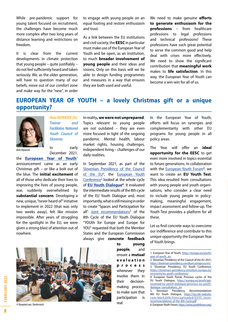While pre-pandemic support for young talent focused on recruitment, the challenges have become much more complex after two long years of distance learning and restrictions on freedom.

It is clear from the current developments in climate protection that young people – quite justifiably – do not feel sufficiently heard and taken seriously. We, as the older generation, will have to question many of our beliefs, move out of our comfort zone and make way for the "new", in order to engage with young people on an equal footing and restore enthusiasm and trust.

As a link between the EU institutions and civil society, the **EESC** in particular must make use of the European Year of Youth and be open, as an institution. to much **broader involvement of young people** and their ideas and visions. Only on this basis will we be able to design funding programmes and measures in a way that ensures they are both used and useful.

We need to make genuine **efforts to generate enthusiasm for the professions** – from healthcare professions to legal professions and technical professions! These professions have such great potential to serve the common good and help deal with crises more effectively. We need to show the significant contribution that **meaningful work** makes to **life satisfaction**. In this way, the European Year of Youth can become a win-win for all of us.

# **EUROPEAN YEAR OF YOUTH – a lovely Christmas gift or a unique opportunity?**



*Trainer and Facilitator, National Youth Council of Slovenia*

*Neža REPANŠEK (SL)*

*Neža Repanšek*

In early December 2021,

the **[European Year of Youth](https://europa.eu/youth/year-of-youth_en)**<sup>1</sup> announcement came as an early Christmas gift – or like a bolt out of the blue. The **initial excitement** of all of those who dedicate their lives to improving the lives of young people, was suddenly overwhelmed by **substantial concern**. Developing a new, unique, "never heard of" initiative to implement in 2022 (that was only two weeks away), felt like mission impossible. After years of struggling for the spotlight in the EU, we were given a strong blast of attention out of nowhere.

In reality**, we were not unprepared**. Topics relevant to young people are not outdated – they are even more focused in light of the ongoing pandemic. Mental health, labour market rights, housing challenges, independent living – challenges of our daily realities.

In September 2021, as part of the [Slovenian Presidency of the Council](https://slovenian-presidency.consilium.europa.eu/en/)  [of the EU](https://slovenian-presidency.consilium.europa.eu/en/)<sup>2</sup>, the European Youth [Conference](https://slovenian-presidency.consilium.europa.eu/en/events/eu-youth-conference/)<sup>3</sup> looked at the whole cycle of **EU Youth Dialogue<sup>4</sup>**. It evaluated the intermediate results of the 8th cycle of the EU Youth Dialogue and, most importantly, what is still missing in order to create "Spaces and Participation for all". [Joint recommendations](https://irp.cdn-website.com/66e920f6/files/uploaded/EUYC-Joint-recommendations-of-the-8th-Cycle.pdf)<sup>5</sup> of the 8th Cycle of the EU Youth Dialogue "YOUth for Europe and Europe for YOU" requested that both the Member States and the European Commission always give **concrete feedback**  In the European Year of Youth, efforts will focus on synergies and complementarity with other EU programs for young people in all policy areas.

The Year will offer an **ideal opportunity for the EESC** to get even more involved in topics essential to future generations. In collaboration with the **[European Youth Forum](https://www.youthforum.org/)<sup>6</sup>**, we want to create an **EU Youth Test**. This idea resulted from consultations with young people and youth organisations, who consider a clear need to include young people in policymaking, meaningful engagement, impact assessment and follow-up. The Youth Test provides a platform for all these.

Let us find concrete ways to overcome our indifference and contribute to this unique opportunity the European Year of Youth brings.

*© Rawpixel.com, Shutterstock*

**people**, and ensure a **mutual e v a l u a t i o n process** whenever they involve them in their decisionmaking process, to make sure that participation is real.

**to young** 

1. European Year of Youth, [https://europa.eu/youth/](https://europa.eu/youth/year-of-youth_en) [year-of-youth\\_en](https://europa.eu/youth/year-of-youth_en)

6. European Youth Forum, <https://www.youthforum.org/>

**8**



<sup>2.</sup> Slovenian Presidency of the Council of the EU 2021, <https://slovenian-presidency.consilium.europa.eu/en/> 3. Slovenian Presidency, EU Youth Conference, [https://slovenian-presidency.consilium.europa.eu/](https://slovenian-presidency.consilium.europa.eu/en/events/eu-youth-conference/) [en/events/eu-youth-conference/](https://slovenian-presidency.consilium.europa.eu/en/events/eu-youth-conference/)

<sup>4.</sup> European Youth Portal, Previous cycles of the EU Youth Dialogue, [https://europa.eu/youth/get](https://europa.eu/youth/get-involved/eu-youth-dialogue/previous-eu-youth-dialogue-consultations_en)[involved/eu-youth-dialogue/previous-eu-youth](https://europa.eu/youth/get-involved/eu-youth-dialogue/previous-eu-youth-dialogue-consultations_en)[dialogue-consultations\\_en](https://europa.eu/youth/get-involved/eu-youth-dialogue/previous-eu-youth-dialogue-consultations_en)

<sup>5.</sup> Slovenian Presidency, Recommendations 8th EU Youth Dialogue, [https://irp.cdn-website.](https://irp.cdn-website.com/66e920f6/files/uploaded/EUYC-Joint-recommendations-of-the-8th-Cycle.pdf) [com/66e920f6/files/uploaded/EUYC-Joint](https://irp.cdn-website.com/66e920f6/files/uploaded/EUYC-Joint-recommendations-of-the-8th-Cycle.pdf)[recommendations-of-the-8th-Cycle.pdf](https://irp.cdn-website.com/66e920f6/files/uploaded/EUYC-Joint-recommendations-of-the-8th-Cycle.pdf)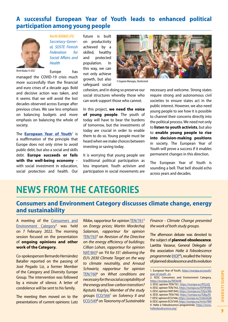# **A successful European Year of Youth leads to enhanced political participation among young people**



*Vertti KIUKAS (FI) Secretary-General, SOSTE Finnish Federation for Social Affairs and Health*

Europe has

*Vertti Kiukas © EESC*

managed the COVID-19 crisis much more successfully than the financial and euro crises of a decade ago. Bold and decisive action was taken, and it seems that we will avoid the lost decades observed across Europe after previous crises. We saw less emphasis on balancing budgets and more emphasis on balancing the whole of society.

The <mark>[European Year of Youth](https://europa.eu/youth/year-of-youth_en)</mark>1 is a reaffirmation of the principle that Europe does not only strive to avoid public debt, but also a social and skills debt. **Europe succeeds or fails with the well-being economy** – with social investment in education, social protection and health. Our

future is built on productivity achieved by a skilled, healthy and protected population. In this way, we can not only achieve growth, but also safeguard social



*© Eugenio Marongiu, Shutterstock*

cohesion, and in doing so preserve our social structures whereby those who can work support those who cannot.

In this project, **we need the voice of young people**. The youth of today will have to bear the burdens of tomorrow, but the investments of today are crucial in order to enable them to do so. Young people must be heard when we make choices between investing or saving today.

It is worrying that young people see traditional political participation as less important. Youth activism and participation in social movements are

necessary and welcome. Strong states require strong and autonomous civil societies to ensure states act in the public interest. However, we also need young people to see how it is possible to channel their concerns directly into the political process. We need not only to **listen to youth activists**, but also to **enable young people to rise into decision-making positions** in society. The European Year of Youth will prove a success if it enables permanent changes in this direction.

The European Year of Youth is sounding a bell. That bell should echo across years and decades.

# **NEWS FROM THE CATEGORIES**

## **Consumers and Environment Category discusses climate change, energy and sustainability**

A meeting of the [Consumers and](https://www.eesc.europa.eu/en/members-groups/categories/consumers-and-environment-category-cec) [Environment Category](https://www.eesc.europa.eu/en/members-groups/categories/consumers-and-environment-category-cec)<sup>2</sup> was held on 7 February 2022. The morning session focused on the presentation of **ongoing opinions and other work of the Category.**

Co-spokesperson Bernardo Hernández Bataller reported on the passing of José Pegado Liz, a former Member of the Category and Diversity Europe Group. The intervention was followed by a minute of silence. A letter of condolence will be sent to his family.

The meeting then moved on to the presentations of current opinions: Lutz

Ribbe, rapporteur for opinion [TEN/761](https://www.eesc.europa.eu/en/our-work/opinions-information-reports/opinions/energy-prices)<sup>3</sup> on *Energy prices; Martin Mordechaj Salamon, rapporteur for opinion*  [TEN/763](https://www.eesc.europa.eu/en/our-work/opinions-information-reports/opinions/revision-energy-performance-buildings-directive)<sup>4</sup> on *Revision of the Directive on the energy efficiency of buildings; Cillian Lohan, rapporteur for opinion*  [NAT/843](https://www.eesc.europa.eu/en/our-work/opinions-information-reports/opinions/fit-55-delivering-eus-2030-climate-target-way-climate-neutrality)<sup>5</sup> on 'Fit for 55': delivering the *EU's 2030 Climate Target on the way to climate neutrality, and Arnaud Schwartz, rapporteur for opinion*  [TEN/760](https://www.eesc.europa.eu/en/our-work/opinions-information-reports/opinions/what-conditions-are-needed-energy-and-low-carbon-transition-be-socially-acceptable)<sup>6</sup> on *What conditions are necessary for the social acceptability of the energy and low-carbon transition? Kęstutis Kupšys, Member of the study groups* [ECO/566](https://www.eesc.europa.eu/en/our-work/opinions-information-reports/opinions/solvency-ii-review)<sup>7</sup> on *Solvency II and*  [ECO/549](https://www.eesc.europa.eu/en/our-work/opinions-information-reports/opinions/sustainable-finance-taxonomy-climate-change)<sup>8</sup> on *Taxonomy of Sustainable* 

*Finance - Climate Change presented the work of both study groups.*

The afternoon debate was devoted to the subject of **planned obsolescence**. Laetitia Vasseur, General Delegate of the association *Halte à l'obsolescence programmée* [\(HOP](https://www.halteobsolescence.org/)<sup>9</sup> ), recalled the history of planned obsolescence and its evolution

3. EESC opinion TEN/761, <https://europa.eu/!RYjJJQ>

- 5. EESC opinion NAT/843,<https://europa.eu/!UbJcWb>
- 6. EESC opinion TEN/760, <https://europa.eu/!G8gcRt>
- 7. EESC opinion ECO/566,<https://europa.eu/!mbG4GM>
- 8. EESC opinion ECO/549,<https://europa.eu/!mUn7BM> 9. Halte à l'obsolescence programmée, [https://www.](https://www. halteobsolescence.org/)

<sup>1.</sup> European Year of Youth, [https://europa.eu/youth/](https://europa.eu/youth/year-of-youth_en) [year-of-youth\\_en](https://europa.eu/youth/year-of-youth_en)

<sup>2.</sup> EESC Consumers and Environment Category, <https://europa.eu/!Nf36rW>

<sup>4.</sup> EESC opinion TEN/763, <https://europa.eu/!hPHhWk>

[halteobsolescence.org/](https://www. halteobsolescence.org/)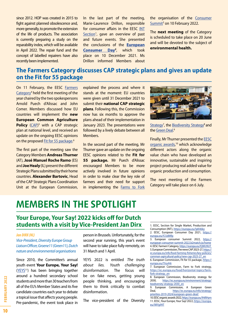since 2012. HOP was created in 2015 to fight against planned obsolescence and, more generally, to promote the extension of the life of products. The association is currently preparing a study on the reparability index, which will be available in April 2022. The repair fund and the concept of labelled repairers have also recently been implemented.

In the last part of the meeting, Marie-Laurence Drillon, responsible for consumer affairs in the EESC [INT](https://www.eesc.europa.eu/en/sections-other-bodies/sections-commission/single-market-production-and-consumption-int)  [Section](https://www.eesc.europa.eu/en/sections-other-bodies/sections-commission/single-market-production-and-consumption-int)<sup>1</sup>, gave an overview of past and future events. She presented the conclusions of the **[European](https://www.eesc.europa.eu/en/agenda/our-events/events/european-consumer-day-2021)  [Consumer Day](https://www.eesc.europa.eu/en/agenda/our-events/events/european-consumer-day-2021)2** , which took place on 10 December 2021. Ms Drillon informed Members about

the organisation of the [Consumer](https://european-consumer-summit-2022.b2match.io/home)  [Summit](https://european-consumer-summit-2022.b2match.io/home)<sup>3</sup> on 10 February 2022.

The **next meeting** of the Category is scheduled to take place on 20 June and will be devoted to the subject of **environmental health.**

# **The Farmers Category discusses CAP strategic plans and gives an update on the Fit for 55 package**

On 11 February, the EESC [Farmers](https://www.eesc.europa.eu/en/members-groups/categories/farmers-category)  $Categorical<sup>4</sup>$  held the first meeting of the year chaired by the two spokespersons Arnold Puech d'Alissac and John Comer. Members discussed how EU countries will implement the **new European Common Agriculture Policy** [\(CAP\)](https://ec.europa.eu/info/food-farming-fisheries/key-policies/common-agricultural-policy/new-cap-2023-27_en)<sup>5</sup> with a CAP strategic plan at national level, and received an update on the ongoing EESC opinions on the proposed **Fit for 55 package.**<sup>6</sup>

The first part of the meeting saw the Category Members **Andreas Thurner** (AT), **José Manuel Roche Ramo** (ES) and **Joe Healy** (IL) present the different Strategic Plans submitted by their home countries. **Alexander Bartovic**, Head of the CAP Strategic Plans Coordination Unit at the European Commission, explained the process and where it stands at the moment: EU countries were given until 31 December 2021 to submit their **national CAP strategic plans**. Following this, the Commission now has six months to approve the plans ahead of their implementation in January 2023. The presentations were followed by a lively debate between all Members.

In the second part of the meeting, Mr Thurner gave an update on the ongoing EESC opinions related to the **Fit for 55 package.** Mr Puech d'Alissac encouraged Members to be more actively involved in future opinions in order to make clear the key role of farmers and their need for support in implementing the Farms to Fork



Strategy<sup>7</sup>, the [Biodiversity Strategy](https://ec.europa.eu/environment/strategy/biodiversity-strategy-2030_en)<sup>8</sup> and the [Green Deal.](https://ec.europa.eu/info/strategy/priorities-2019-2024/european-green-deal/)<sup>9</sup>

Finally, Mr Thurner presented the [EESC](https://www.eesc.europa.eu/en/initiatives/organic-awards/eesc-organic-awards-edition-2022)  [organic awards,](https://www.eesc.europa.eu/en/initiatives/organic-awards/eesc-organic-awards-edition-2022) 10 which acknowledge different actors along the organic value chain who have developed an innovative, sustainable and inspiring project producing real added value for organic production and consumption.

The next meeting of the Farmers Category will take place on 6 July.

# **MEMBERS IN THE SPOTLIGHT**

## **Your Europe, Your Say! 2022 kicks off for Dutch students with a visit by Vice-President Jan Dirx**

#### *Jan DIRX (NL)*

*Vice-President, Diversity Europe Group Liaison Officer, Groene11 (Green11), Dutch nature and environmental organisations*

Since 2010, the Committee's annual youth event **Your Europe, Your Say!** ([YEYS](https://www.eesc.europa.eu/fr/agenda/our-events/events/your-europe-your-say-2022)<sup>11</sup>) has been bringing together around a hundred secondary school students and more than 30 teachers from all of the EU's Member States and its five candidate countries each year to debate a topical issue that affects young people. Pre-pandemic, the event took place in person in Brussels. Unfortunately, for the second year running, this year's event will have to take place fully remotely, on 31 March and 1 April.

YEYS 2022 is entitled *The truth about lies. Youth challenging disinformation*. The focus will be on fake news, getting young people thinking, and encouraging them to think critically to combat disinformation.

The vice-president of the Diversity

<sup>1.</sup> EESC, Section for Single Market, Production and Consumption (INT), <https://europa.eu/!pK46ky> 2. EESC, European Consumer Day 2021, [https://](https://europa.eu/!CUdMfp)

[europa.eu/!CUdMfp](https://europa.eu/!CUdMfp) 3. European consumer Summit 2022, [https://](https://european-consumer-summit-2022.b2match.io/home)

[european-consumer-summit-2022.b2match.io/home](https://european-consumer-summit-2022.b2match.io/home) 4. EESC Farmers' Category,<https://europa.eu/!QWU9UT> 5. European Commission, The news CAP 2023-27, [https://](https://ec.europa.eu/info/food-farming-fisheries/key-policies/common-agricultural-policy/new-cap-2023-27_en) [ec.europa.eu/info/food-farming-fisheries/key-policies/](https://ec.europa.eu/info/food-farming-fisheries/key-policies/common-agricultural-policy/new-cap-2023-27_en) [common-agricultural-policy/new-cap-2023-27\\_en](https://ec.europa.eu/info/food-farming-fisheries/key-policies/common-agricultural-policy/new-cap-2023-27_en)

<sup>6.</sup> European Commission, Fit for 55 package, [https://](https://europa.eu/!Yxy44r) [europa.eu/!Yxy44r](https://europa.eu/!Yxy44r)

<sup>7.</sup> European Commission, Farm to Fork strategy, [https://ec.europa.eu/food/horizontal-topics/farm](https://ec.europa.eu/food/horizontal-topics/farm-fork-strategy_en)[fork-strategy\\_en](https://ec.europa.eu/food/horizontal-topics/farm-fork-strategy_en)

<sup>8.</sup> European Commission, Biodiversity strategy for 2030, [https://ec.europa.eu/environment/strategy/](https://ec.europa.eu/environment/strategy/biodiversity-strategy-2030_en) [biodiversity-strategy-2030\\_en](https://ec.europa.eu/environment/strategy/biodiversity-strategy-2030_en)

<sup>9.</sup> European Commission, A European Green<br>Deal. https://ec.europa.eu/info/strategy/ [https://ec.europa.eu/info/strategy/](https://ec.europa.eu/info/strategy/priorities-2019-2024/european-green-deal/) [priorities-2019-2024/european-green-deal/](https://ec.europa.eu/info/strategy/priorities-2019-2024/european-green-deal/)

<sup>10.</sup> EESC organic awards 2022,<https://europa.eu/!HtRHym> 11. EESC, Your Europe, Your Say! 2022, [https://europa.](https://europa.eu/!MYg99T) [eu/!MYg99T](https://europa.eu/!MYg99T)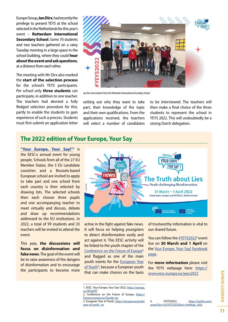<span id="page-10-0"></span>Europe Group, **Jan Dirx**, had recently the privilege to present YEYS at the school selected in the Netherlands for this year's event – **Rotterdam International Secondary School**. Some 70 students and two teachers gathered on a rainy Tuesday morning in a large space in the school building, where they could **hear about the event and ask questions**, at a distance from each other.

The meeting with Mr Dirx also marked the **start of the selection process** for the school's YEYS participants. Per school only **three students** can participate, in addition to one teacher. The teachers had devised a fully fledged selection procedure for this, partly to enable the students to gain experience of such a process. Students must first submit an application letter



*Jan Dirx and students from the Rotterdam International Secondary School* 

setting out why they want to take part, their knowledge of the topic and their own qualifications. From the applications received, the teachers will select a number of candidates

to be interviewed. The teachers will then make a final choice of the three students to represent the school in YEYS 2022. This will undoubtedly be a strong Dutch delegation.

## **The 2022 edition of Your Europe, Your Say**

**["Your Europe, Your Say!"1](https://www.eesc.europa.eu/fr/agenda/our-events/events/your-europe-your-say-2022)** is the EESC›s annual event for young people. Schools from all of the 27 EU Member States, the 5 EU candidate countries and a Brussels-based European school are invited to apply to take part and one school from each country is then selected by drawing lots. The selected schools then each choose three pupils and one accompanying teacher to meet virtually and discuss, debate and draw up recommendations addressed to the EU institutions. In 2022, a total of 99 students and 33 teachers will be invited to attend the event.

This year, **the discussions will focus on disinformation and fake news**. The goal of the event will be to raise awareness of the dangers of disinformation and to encourage the participants to become more



active in the fight against fake news. It will focus on helping youngsters to detect disinformation easily and act against it. This EESC activity will be linked to the youth chapter of the [Conference on the Future of Europe](https://futureu.europa.eu/?locale=en)<sup>2</sup> and flagged as one of the main youth events for the [European Year](https://europa.eu/youth/year-of-youth_en) [of Youth](https://europa.eu/youth/year-of-youth_en)<sup>3</sup>, because a European youth that can make choices on the basis

of trustworthy information is vital to our shared future.

You can follow the [#YEYS2022](https://twitter.com/search?q=%23YEYS2022&src=hashtag_click)<sup>4</sup> event live on **30 March and 1 April** on the [Your Europe, Your Say! Facebook](https://www.facebook.com/youreuropeyoursay)  [page](https://www.facebook.com/youreuropeyoursay).

For **more information** please visit the YEYS webpage here: [https://](https://www.eesc.europa.eu/yeys2022) [www.eesc.europa.eu/yeys2022](https://www.eesc.europa.eu/yeys2022)

<sup>1.</sup> EESC. Your Europe, Your Say! 2022, [https://europa.](https://europa.eu/!MYg99T) [eu/!MYg99T](https://europa.eu/!MYg99T)

<sup>2.</sup> Conference on the Future of Europe, [https://](https://futureu.europa.eu/?locale=en) [futureu.europa.eu/?locale=en](https://futureu.europa.eu/?locale=en)

<sup>3.</sup> European Year of Youth, [https://europa.eu/youth/](https://europa.eu/youth/year-of-youth_en) [year-of-youth\\_en](https://europa.eu/youth/year-of-youth_en)

<sup>4. #</sup>YEYS2022, [https://twitter.com/](https://twitter.com/search?q=%23YEYS2022&src=hashtag_click) [search?q=%23YEYS2022&src=hashtag\\_click](https://twitter.com/search?q=%23YEYS2022&src=hashtag_click)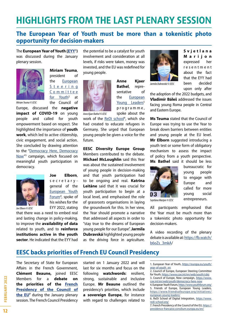# <span id="page-11-0"></span>**HIGHLIGHTS FROM THE LAST PLENARY SESSION**

# **The European Year of Youth must be more than a tokenistic photo opportunity for decision-makers**

The **European Year of Youth [\(EYY](https://europa.eu/youth/year-of-youth_en)1 )** was discussed during the January plenary session.



**Miriam Teuma**, president of the [European](https://www.coe.int/en/web/youth/cdej) [S t e e r i n g](https://www.coe.int/en/web/youth/cdej) [C o m m i t t e e](https://www.coe.int/en/web/youth/cdej) [for Youth](https://www.coe.int/en/web/youth/cdej)<sup>2</sup> at the Council of

*Miriam Teuma © EESC*

Europe, discussed the **negative impact of COVID-19** on young people and called for youth empowerment based on respect. She highlighted the importance of **youth work**, which led to active citizenship, civic engagement, and social action. She concluded by drawing attention to the ["Democracy Here, Democracy](https://www.coe.int/en/web/youth/democracy-here-now) [Now](https://www.coe.int/en/web/youth/democracy-here-now)"<sup>3</sup> campaign, which focused on meaningful youth participation in democracy.



secretarygeneral of the [European Youth](https://www.youthforum.org/) [Forum](https://www.youthforum.org/)<sup>4</sup>, spoke of his wishes for the EYY 2022, stating

**Joe Elborn**,

that there was a need to embed real and lasting change in policy-making, to improve the **availability of data** related to youth, and to **reinforce institutions active in the youth** 

**sector**. He indicated that the EYY had

the potential to be a catalyst for youth involvement and consideration at all levels, if risks were taken, money was invested, and the EU was redefined for young people.



**Anne Kjaer Bathel**, representative of the [European](https://www.friendsofeurope.org/initiatives/european-young-leaders/)  Young Leaders<sup>5</sup> p r o g r a m m e , spoke about the

*Anne Kjaer Bathel © EESC*

work of the [ReDi school](https://www.redi-school.org/)<sup>6</sup>, which she had created to educate refugees in Germany. She urged that European young people be given a voice for the future.

**EESC Diversity Europe Group**  Members contributed to the debate. **Michael McLoughlin** said this Year was about the sustained involvement of young people in decision-making and that youth participation had to be ongoing and real. **Katrīna Leitāne** said that it was crucial for youth participation to begin at a local level, and emphasised the role of grassroots organisations in laying the groundwork for this. In her view, the Year should promote a narrative that addressed all aspects in order to "stay true to the dreams of European young people for our Europe". **Jarmila Dubravská** highlighted young people as the driving force in agriculture.



*Jarmila Dubravská © EESC*

**S v j e t l a n a Marijon** expressed her r e s e n t m e n t about the fact that the EYY had been decided upon only after

the adoption of the 2022 budgets, and **Vladimír Báleš** addressed the issues facing young Roma people in Central and Eastern Europe.

**Ms Teuma** stated that the Council of Europe was trying to use the Year to break down barriers between entities and young people at the EU level. **Mr Elborn** suggested introducing a youth test or some form of obligatory mechanism to assess the impact of policy from a youth perspective. **Ms Bathel** said it should be less



*Svjetlana Marijon © EESC*

bureaucratic for young people to engage with Europe and called for more young social entrepreneurs.

All participants emphasised that the Year must be much more than a tokenistic photo opportunity for decision-makers.

A video recording of the plenary debate is available at: [https://fb.watch/](https://fb.watch/b6oZs_3mkA/) [b6oZs\\_3mkA/](https://fb.watch/b6oZs_3mkA/)

# **EESC backs priorities of French EU Council Presidency**

The Secretary of State for European Affairs in the French Government, **Clément Beaune,** joined EESC Members for a **debate on the priorities of the [French](https://presidence-francaise.consilium.europa.eu/en/) Presidency [of the Council of](https://presidence-francaise.consilium.europa.eu/en/) [the EU](https://presidence-francaise.consilium.europa.eu/en/)7** during the January plenary session. The French Council Presidency

started on 1 January 2022 and will last for six months and focus on the following **watchwords**: resilient, strong, sustainable and inclusive Europe. **Mr Beaune** outlined the presidency's priorities, which include **a sovereign Europe**, for instance with regard to challenges related to

<sup>1.</sup> European Year of Youth, [https://europa.eu/youth/](https://europa.eu/youth/year-of-youth_en) [year-of-youth\\_en](https://europa.eu/youth/year-of-youth_en)

<sup>2.</sup> Council of Europe, European Steering Committee for Youth,<https://www.coe.int/en/web/youth/cdej> 3. Council of Europe, Now campaign, [https://www.](https://www.coe.int/en/web/youth/democracy-here-now) [coe.int/en/web/youth/democracy-here-now](https://www.coe.int/en/web/youth/democracy-here-now)

<sup>4.</sup> European Youth Forum,<https://www.youthforum.org/> 5. Friends of Europe, European Young Leaders, [https://www.friendsofeurope.org/initiatives/](https://www.friendsofeurope.org/initiatives/european-young-leaders/) [european-young-leaders/](https://www.friendsofeurope.org/initiatives/european-young-leaders/)

<sup>6.</sup> ReDi School of Digital Integration, [https://www.](https://www.redi-school.org/) [redi-school.org/](https://www.redi-school.org/)

<sup>7.</sup> French Presidency of the Council of the EU, [https://](https://presidence-francaise.consilium.europa.eu/en/) [presidence-francaise.consilium.europa.eu/en/](https://presidence-francaise.consilium.europa.eu/en/)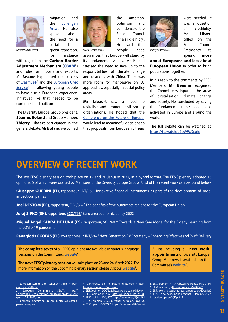

migration, and the [Schengen](https://ec.europa.eu/home-affairs/policies/schengen-borders-and-visa/schengen-area_en) [Area](https://ec.europa.eu/home-affairs/policies/schengen-borders-and-visa/schengen-area_en)<sup>1</sup>. He also spoke about the need for a social and fair green transition, *Clément Beaune © EESC Séamus Boland © EESC Thierry Libaert © EESC* for instance

with regard to the **Carbon Border Adjustment Mechanism [\(CBAM](https://ec.europa.eu/commission/presscorner/detail/en/qanda_21_3661)2 )** and rules for imports and exports. Mr Beaune highlighted the success of **Erasmus**+<sup>3</sup> and the **[European Civic](https://www.eesc.europa.eu/en/our-work/opinions-information-reports/opinions/eesc-opinion-european-civic-service)** Service<sup>4</sup> in allowing young people to have a true European experience. Initiatives like that needed to be continued and built on.

The Diversity Europe Group president, **Séamus Boland** and Group Member, **Thierry Libaert** participated in the general debate. **Mr Boland** welcomed



areas.

its fundamental values. Mr Boland stressed the need to face up to the responsibilities of climate change and relations with China. There was more room for manoeuvre on EU approaches, especially in social policy

**Mr Libaert** saw a need to revitalise and promote civil society organisations. He hoped that the [Conference on the Future of Europe](https://futureu.europa.eu/?locale=en)<sup>5</sup> would lead to meaningful decisions so that proposals from European citizens

the ambition, optimism and confidence of the French Council P r e s i d e n c y . He said that people need assurances that Europe will stand by



were heeded. It was a question of credibility. Mr Libaert called on the French Council Presidency to **speak more** 

**about Europeans and less about European Union** in order to bring populations together.

In his reply to the comments by EESC Members, **Mr Beaune** recognised the Committee's input in the areas of digitalisation, climate change and society. He concluded by saying that fundamental rights need to be activated in Europe and around the world.

The full debate can be watched at: <https://fb.watch/b6oW9xXxuh/>

# **OVERVIEW OF RECENT WORK**

The last EESC plenary session took place on 19 and 20 January 2022, in a hybrid format. The EESC plenary adopted 16 opinions, 5 of which were drafted by Members of the Diversity Europe Group. A list of the recent work can be found below.

Giuseppe GUERINI (IT), rapporteur, [INT/965](https://www.eesc.europa.eu/en/our-work/opinions-information-reports/opinions/innovative-financial-instruments-part-development-social-impact-companies)<sup>1</sup> Innovative financial instruments as part of the development of social impact companies

**Joël DESTOM (FR)**, rapporteur, *ECO/567*<sup>2</sup> The benefits of the outermost regions for the European Union

Juraj SIPKO (SK), rapporteur, **ECO/568<sup>3</sup> Euro area economic policy 2022** 

**Miguel Ángel CABRA DE LUNA (ES)**, rapporteur, [SOC/687](https://www.eesc.europa.eu/en/our-work/opinions-information-reports/opinions/towards-new-care-model-elderly-learning-covid-19-pandemic-own-initiative-opinion-gr-iii)<sup>4</sup> Towards a New Care Model for the Elderly: learning from the COVID-19 pandemic

Panagiotis GKOFAS (EL), co-rapporteur, [INT/947](https://www.eesc.europa.eu/en/our-work/opinions-information-reports/opinions/next-generation-sme-strategy-enhancing-effective-and-swift-delivery)<sup>5</sup> Next Generation SME Strategy – Enhancing Effective and Swift Delivery

The **complete texts** of all EESC opinions are available in various language versions on the Committee's <u>[website](https://www.eesc.europa.eu/en/our-work/opinions-information-reports/opinions)</u><sup>6</sup>.

The **next EESC plenary session** will take place on 23 and 24 March 2022. For more information on the upcoming plenary session please visit our <u>[website](https://www.eesc.europa.eu/en/agenda/plenary-sessions)</u><sup>7</sup>.

5. EESC opinion SOC/323,<https://europa.eu/!kjpvvx>

A list including all **new work appointments** of Diversity Europe Group Members is available on the Committee's [website](https://www.eesc.europa.eu/en/news-media/news/new-work-appointments-january-2022)<sup>8</sup>.

7. EESC plenary sessions, <https://europa.eu/!Dg84qG>

<sup>1.</sup> European Commission, Schengen Area, [https://](https://europa.eu/!yFhhkC) [europa.eu/!yFhhkC](https://europa.eu/!yFhhkC)

European Commission, CBAM, [https://](https://ec.europa.eu/commission/presscorner/detail/en/qanda_21_3661/smo) [ec.europa.eu/commission/presscorner/detail/en/](https://ec.europa.eu/commission/presscorner/detail/en/qanda_21_3661/smo) [qanda\\_21\\_3661/smo](https://ec.europa.eu/commission/presscorner/detail/en/qanda_21_3661/smo)

<sup>3.</sup> European Commission, Erasmus+, [https://erasmus](https://erasmus-plus.ec.europa.eu/)[plus.ec.europa.eu/](https://erasmus-plus.ec.europa.eu/)

<sup>4.</sup> Conference on the Future of Europe, [https://](https://futureu.europa.eu/?locale=en) [futureu.europa.eu/?locale=en](https://futureu.europa.eu/?locale=en)

<sup>1.</sup> EESC opinion INT/965, <https://europa.eu/!rU7KGg> 2. EESC opinion ECO/567,<https://europa.eu/!QrhdGU>

<sup>3.</sup> EESC opinion ECO/568,<https://europa.eu/!pvc7vC>

<sup>4.</sup> EESC opinion SOC/687,<https://europa.eu/!4kQmHM>

<sup>5.</sup> EESC opinion INT/947,<https://europa.eu/!T7DNPT> 6. EESC opinions,<https://europa.eu/!wF86wY>

<sup>8.</sup> EESC, New work appointments – January 2022, <https://europa.eu/!QDpnM8>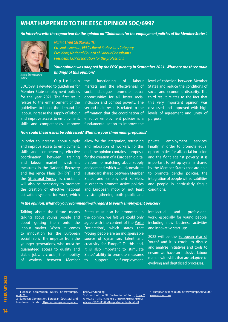# **WHAT HAPPENED TO THE EESC OPINION SOC/699?**

*An interview with the rapporteur for the opinion on "Guidelines for the employment policies of the Member States".*



*Marina Elvira Calderone © EESC*

*Marina Elvira CALDERONE (IT) Co-spokesperson, EESC Liberal Professions Category President, National Council of Labour Consultants President, CUP association for the professions*

*Your opinion was adopted by the EESC plenary in September 2021. What are the three main findings of this opinion?*

O p i n i o n SOC/699 is devoted to guidelines for Member State employment policies for the year 2021. The first result relates to the enhancement of the guidelines to boost the demand for labour, increase the supply of labour and improve access to employment, skills and competencies, improve

the functioning of labour markets and the effectiveness of social dialogue, promote equal opportunities for all, foster social inclusion and combat poverty. The second main result is related to the affirmation that the coordination of effective employment policies is a fundamental action to improve the level of cohesion between Member States and reduce the conditions of social and economic disparity. The third result relates to the fact that this very important opinion was discussed and approved with high levels of agreement and unity of purpose.

#### *How could these issues be addressed? What are your three main proposals?*

In order to increase labour supply and improve access to employment, skills and competences, effective coordination between training and labour market investment measures in the National Recovery and Resilience Plans ([NRRPs](https://ec.europa.eu/info/business-economy-euro/recovery-coronavirus/recovery-and-resilience-facility_en)<sup>1</sup>) and the **[Structural Funds](https://ec.europa.eu/regional_policy/en/funding/)<sup>2</sup> is crucial.** It will also be necessary to promote the creation of effective national activation systems for work, which

allow for the integration, retraining and relocation of workers. To this end, the opinion contains a proposal for the creation of a European digital platform for matching labour supply and demand, which would constitute a standard shared between Member States and employment services, in order to promote active policies and European mobility, not least by strengthening both public and

private employment services. Finally, in order to promote equal opportunities for all, social inclusion and the fight against poverty, it is important to set up systems shared by the Member States that are able to promote gender policies, the integration of people with disabilities and people in particularly fragile conditions.

#### *In the opinion, what do you recommend with regard to youth employment policies?*

Talking about the future means talking about young people and about getting them onto the labour market. When it comes to innovation for the European social fabric, the impetus from the younger generations, who must be guaranteed access to quality and stable jobs, is crucial; the mobility of workers between Member States must also be promoted. In the opinion, we felt we could only agree with the content of the [Porto](https://www.consilium.europa.eu/en/press/press-releases/2021/05/08/the-porto-declaration/pdf) [Declaration](https://www.consilium.europa.eu/en/press/press-releases/2021/05/08/the-porto-declaration/pdf)<sup>3</sup>, which states that "young people are an indispensable source of dynamism, talent and creativity for Europe". To this end, it is also important to stimulate States' ability to promote measures to support self-employment,

intellectual and professional work, especially for young people, including new business activities and innovative start-ups.

2022 will be the [European Year of](https://europa.eu/youth/year-of-youth_en)  [Youth](https://europa.eu/youth/year-of-youth_en)<sup>4</sup> and it is crucial to discuss and analyse initiatives and tools to ensure we have an inclusive labour market with skills that are adapted to evolving and digitalised processes.

<sup>1.</sup> European Commission, NRRPs, [https://europa.](https://europa.eu/!jt78Jr) [eu/!jt78Jr](https://europa.eu/!jt78Jr) 2. European Commission, European Structural and

Investment Funds, [https://ec.europa.eu/regional\\_](https://ec.europa.eu/regional_policy/en/funding/)

[policy/en/funding/](https://ec.europa.eu/regional_policy/en/funding/)

<sup>3.</sup> Council of the EU, Declaration of Porto, [https://](https://www.consilium.europa.eu/en/press/press-releases/2021/05/08/the-porto-declaration/pdf) [www.consilium.europa.eu/en/press/press](https://www.consilium.europa.eu/en/press/press-releases/2021/05/08/the-porto-declaration/pdf)[releases/2021/05/08/the-porto-declaration/pdf](https://www.consilium.europa.eu/en/press/press-releases/2021/05/08/the-porto-declaration/pdf)

<sup>4.</sup> European Year of Youth, [https://europa.eu/youth/](https://europa.eu/youth/year-of-youth_en) [year-of-youth\\_en](https://europa.eu/youth/year-of-youth_en)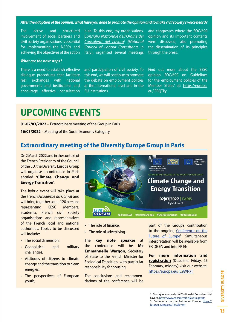<span id="page-14-0"></span>*After the adoption of the opinion, what have you done to promote the opinion and to make civil society's voice heard?*

The active and structured involvement of social partners and civil society organisations is essential for implementing the NRRPs and achieving the objectives of the action plan. To this end, my organisations, *[Consiglio Nazionale dell'Ordine dei](http://www.consulentidellavoro.gov.it/) [Consulenti del Lavoro1](http://www.consulentidellavoro.gov.it/) (National Council of Labour Consultants* in Italy), organised several meetings

and congresses where the SOC/699 opinion and its important contents were discussed, also promoting the dissemination of its principles through the press.

#### *What are the next steps?*

There is a need to establish effective dialogue procedures that facilitate real exchanges with national governments and institutions and encourage effective consultation and participation of civil society. To this end, we will continue to promote the debate on employment policies at the international level and in the EU institutions.

Find out more about the EESC opinion SOC/699 on 'Guidelines for the employment policies of the Member States' at: [https://europa.](https://europa.eu/!FRQTky) [eu/!FRQTky](https://europa.eu/!FRQTky)

# **UPCOMING EVENTS**

**01-02/03/2022** – Extraordinary meeting of the Group in Paris

**16/03/2022** – Meeting of the Social Economy Category

# **Extraordinary meeting of the Diversity Europe Group in Paris**

On 2 March 2022 and in the context of the French Presidency of the Council of the EU, the Diversity Europe Group will organise a conference in Paris entitled **'Climate Change and Energy Transition'**.

The hybrid event will take place at the French *Académie du Climat* and will bring together some 120 persons representing EESC Members, academia, French civil society organisations and representatives of the French local and national authorities. Topics to be discussed will include:

- The social dimension;
- Geopolitical and military challenges;
- Attitudes of citizens to climate change and the transition to clean energies;
- The perspectives of European youth;



- The role of finance;
- The role of advertising.

The **key note speaker** at the conference will be **Ms Emmanuelle Wargon**, Secretary of State to the French Minister for Ecological Transition, with particular responsibility for housing.

The conclusions and recommendations of the conference will be part of the Group's contribution to the ongoing [Conference on the](https://futureu.europa.eu/?locale=en)  [Future of Europe](https://futureu.europa.eu/?locale=en)<sup>2</sup>. Simultaneous interpretation will be available from FR DE EN and into FR EN.

**For more information and registration** (Deadline: Friday, 25 February, midday) visit our website: <https://europa.eu/!C9WNxT>

<sup>1.</sup> Consiglio Nazionale dell'Ordine dei Consulenti del Lavoro, <http://www.consulentidellavoro.gov.it/> 2. Conference on the Future of Europe, [https://](https://futureu.europa.eu/?locale=en) [futureu.europa.eu/?locale=en](https://futureu.europa.eu/?locale=en)